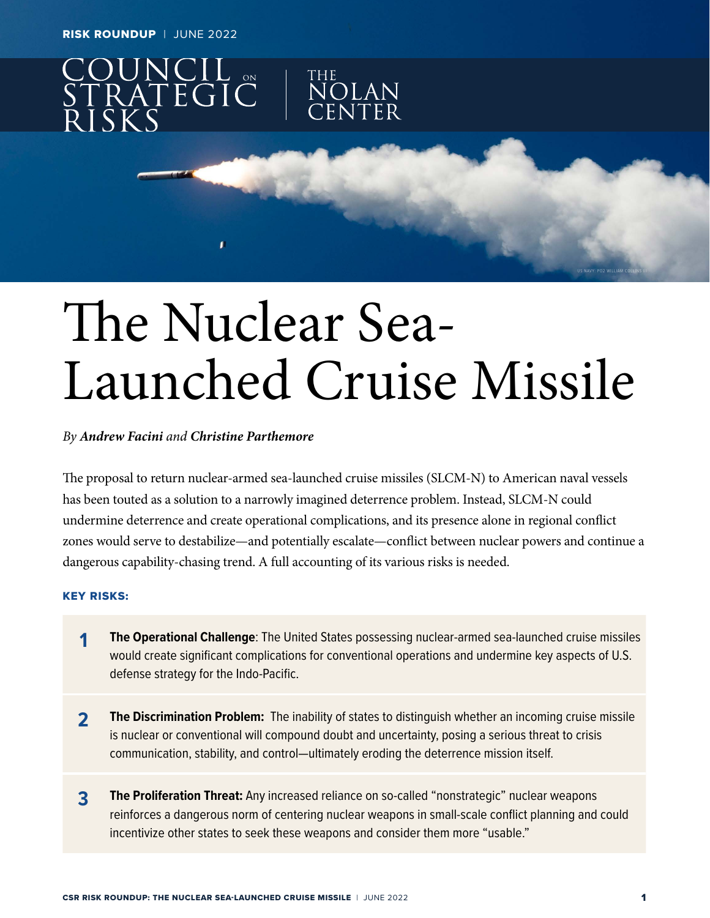RISK ROUNDUP | JUNE 2022



# The Nuclear Sea-Launched Cruise Missile

#### *By Andrew Facini and Christine Parthemore*

The proposal to return nuclear-armed sea-launched cruise missiles (SLCM-N) to American naval vessels has been touted as a solution to a narrowly imagined deterrence problem. Instead, SLCM-N could undermine deterrence and create operational complications, and its presence alone in regional conflict zones would serve to destabilize—and potentially escalate—conflict between nuclear powers and continue a dangerous capability-chasing trend. A full accounting of its various risks is needed.

#### KEY RISKS:

- **1** The Operational Challenge: The United States possessing nuclear-armed sea-launched cruise missiles would create significant complications for conventional operations and undermine key aspects of U.S. defense strategy for the Indo-Pacific.
- **2 The Discrimination Problem:** The inability of states to distinguish whether an incoming cruise missile is nuclear or conventional will compound doubt and uncertainty, posing a serious threat to crisis communication, stability, and control—ultimately eroding the deterrence mission itself.
- **3 The Proliferation Threat:** Any increased reliance on so-called "nonstrategic" nuclear weapons reinforces a dangerous norm of centering nuclear weapons in small-scale conflict planning and could incentivize other states to seek these weapons and consider them more "usable."

US NAVY: PO2 WILLIAM COLLINS III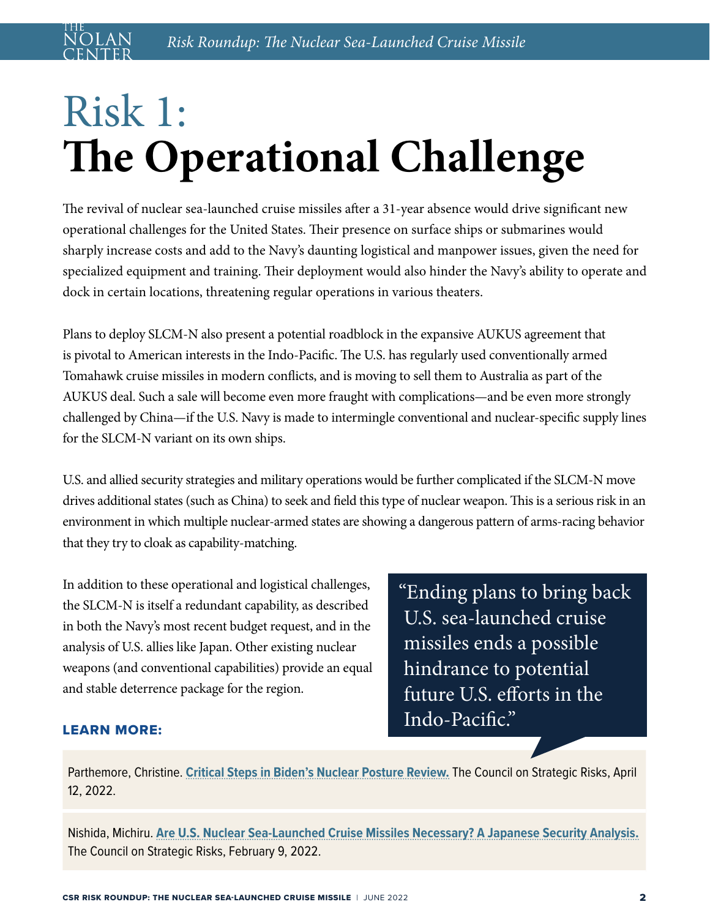# Risk 1: **The Operational Challenge**

The revival of nuclear sea-launched cruise missiles after a 31-year absence would drive significant new operational challenges for the United States. Their presence on surface ships or submarines would sharply increase costs and add to the Navy's daunting logistical and manpower issues, given the need for specialized equipment and training. Their deployment would also hinder the Navy's ability to operate and dock in certain locations, threatening regular operations in various theaters.

Plans to deploy SLCM-N also present a potential roadblock in the expansive AUKUS agreement that is pivotal to American interests in the Indo-Pacific. The U.S. has regularly used conventionally armed Tomahawk cruise missiles in modern conflicts, and is moving to sell them to Australia as part of the AUKUS deal. Such a sale will become even more fraught with complications—and be even more strongly challenged by China—if the U.S. Navy is made to intermingle conventional and nuclear-specific supply lines for the SLCM-N variant on its own ships.

U.S. and allied security strategies and military operations would be further complicated if the SLCM-N move drives additional states (such as China) to seek and field this type of nuclear weapon. This is a serious risk in an environment in which multiple nuclear-armed states are showing a dangerous pattern of arms-racing behavior that they try to cloak as capability-matching.

In addition to these operational and logistical challenges, the SLCM-N is itself a redundant capability, as described in both the Navy's most recent budget request, and in the analysis of U.S. allies like Japan. Other existing nuclear weapons (and conventional capabilities) provide an equal and stable deterrence package for the region.

"Ending plans to bring back U.S. sea-launched cruise missiles ends a possible hindrance to potential future U.S. efforts in the Indo-Pacific."

#### LEARN MORE:

Parthemore, Christine. **[Critical Steps in Biden's Nuclear Posture Review.](https://councilonstrategicrisks.org/2022/04/12/critical-steps-in-bidens-nuclear-posture-review/)** The Council on Strategic Risks, April 12, 2022.

Nishida, Michiru. **[Are U.S. Nuclear Sea-Launched Cruise Missiles Necessary? A Japanese Security Analysis.](https://councilonstrategicrisks.org/2022/02/09/briefer-are-u-s-nuclear-sea-launched-cruise-missiles-necessary-a-japanese-security-analysis/)** The Council on Strategic Risks, February 9, 2022.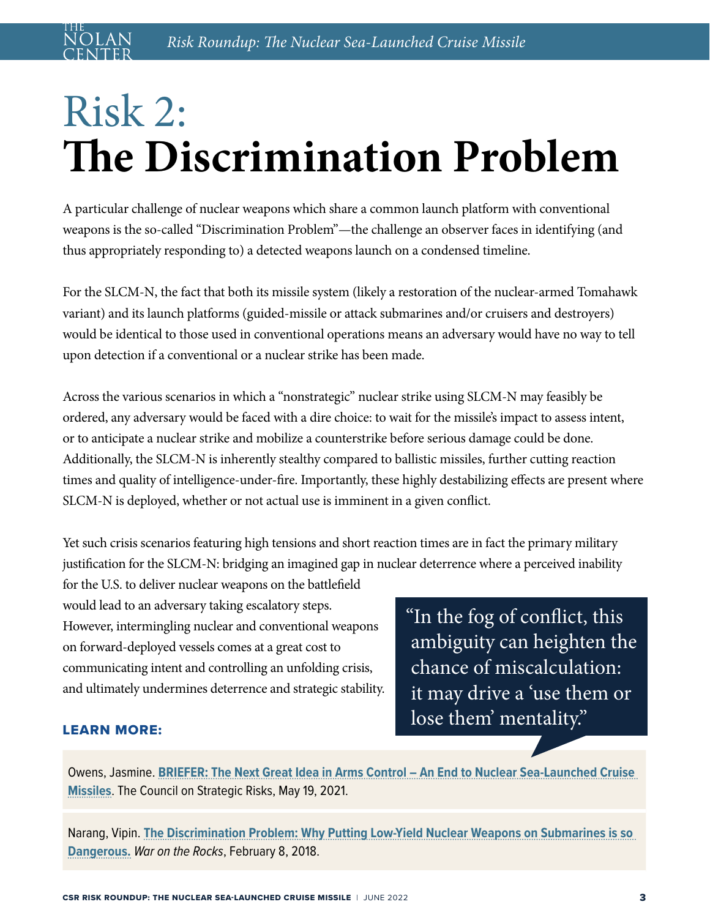## Risk 2: **The Discrimination Problem**

A particular challenge of nuclear weapons which share a common launch platform with conventional weapons is the so-called "Discrimination Problem"—the challenge an observer faces in identifying (and thus appropriately responding to) a detected weapons launch on a condensed timeline.

For the SLCM-N, the fact that both its missile system (likely a restoration of the nuclear-armed Tomahawk variant) and its launch platforms (guided-missile or attack submarines and/or cruisers and destroyers) would be identical to those used in conventional operations means an adversary would have no way to tell upon detection if a conventional or a nuclear strike has been made.

Across the various scenarios in which a "nonstrategic" nuclear strike using SLCM-N may feasibly be ordered, any adversary would be faced with a dire choice: to wait for the missile's impact to assess intent, or to anticipate a nuclear strike and mobilize a counterstrike before serious damage could be done. Additionally, the SLCM-N is inherently stealthy compared to ballistic missiles, further cutting reaction times and quality of intelligence-under-fire. Importantly, these highly destabilizing effects are present where SLCM-N is deployed, whether or not actual use is imminent in a given conflict.

Yet such crisis scenarios featuring high tensions and short reaction times are in fact the primary military justification for the SLCM-N: bridging an imagined gap in nuclear deterrence where a perceived inability

for the U.S. to deliver nuclear weapons on the battlefield would lead to an adversary taking escalatory steps. However, intermingling nuclear and conventional weapons on forward-deployed vessels comes at a great cost to communicating intent and controlling an unfolding crisis, and ultimately undermines deterrence and strategic stability.

"In the fog of conflict, this ambiguity can heighten the chance of miscalculation: it may drive a 'use them or lose them' mentality."

#### LEARN MORE:

Owens, Jasmine. **[BRIEFER: The Next Great Idea in Arms Control – An End to Nuclear Sea-Launched Cruise](https://councilonstrategicrisks.org/2021/05/19/briefer-the-next-great-idea-in-arms-control-an-end-to-nuclear-sea-launched-cruise-missiles/)  [Missiles](https://councilonstrategicrisks.org/2021/05/19/briefer-the-next-great-idea-in-arms-control-an-end-to-nuclear-sea-launched-cruise-missiles/)**. The Council on Strategic Risks, May 19, 2021.

Narang, Vipin. **[The Discrimination Problem: Why Putting Low-Yield Nuclear Weapons on Submarines is so](https://warontherocks.com/2018/02/discrimination-problem-putting-low-yield-nuclear-weapons-submarines-dangerous/)  [Dangerous.](https://warontherocks.com/2018/02/discrimination-problem-putting-low-yield-nuclear-weapons-submarines-dangerous/)** *War on the Rocks*, February 8, 2018.